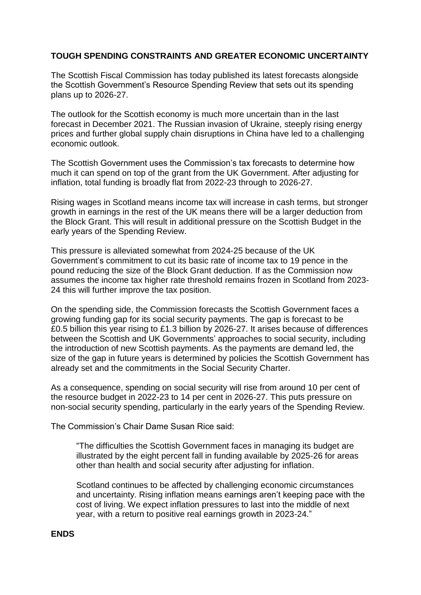## **TOUGH SPENDING CONSTRAINTS AND GREATER ECONOMIC UNCERTAINTY**

The Scottish Fiscal Commission has today published its latest forecasts alongside the Scottish Government's Resource Spending Review that sets out its spending plans up to 2026-27.

The outlook for the Scottish economy is much more uncertain than in the last forecast in December 2021. The Russian invasion of Ukraine, steeply rising energy prices and further global supply chain disruptions in China have led to a challenging economic outlook.

The Scottish Government uses the Commission's tax forecasts to determine how much it can spend on top of the grant from the UK Government. After adjusting for inflation, total funding is broadly flat from 2022-23 through to 2026-27.

Rising wages in Scotland means income tax will increase in cash terms, but stronger growth in earnings in the rest of the UK means there will be a larger deduction from the Block Grant. This will result in additional pressure on the Scottish Budget in the early years of the Spending Review.

This pressure is alleviated somewhat from 2024-25 because of the UK Government's commitment to cut its basic rate of income tax to 19 pence in the pound reducing the size of the Block Grant deduction. If as the Commission now assumes the income tax higher rate threshold remains frozen in Scotland from 2023- 24 this will further improve the tax position.

On the spending side, the Commission forecasts the Scottish Government faces a growing funding gap for its social security payments. The gap is forecast to be £0.5 billion this year rising to £1.3 billion by 2026-27. It arises because of differences between the Scottish and UK Governments' approaches to social security, including the introduction of new Scottish payments. As the payments are demand led, the size of the gap in future years is determined by policies the Scottish Government has already set and the commitments in the Social Security Charter.

As a consequence, spending on social security will rise from around 10 per cent of the resource budget in 2022-23 to 14 per cent in 2026-27. This puts pressure on non-social security spending, particularly in the early years of the Spending Review.

The Commission's Chair Dame Susan Rice said:

"The difficulties the Scottish Government faces in managing its budget are illustrated by the eight percent fall in funding available by 2025-26 for areas other than health and social security after adjusting for inflation.

Scotland continues to be affected by challenging economic circumstances and uncertainty. Rising inflation means earnings aren't keeping pace with the cost of living. We expect inflation pressures to last into the middle of next year, with a return to positive real earnings growth in 2023-24."

## **ENDS**